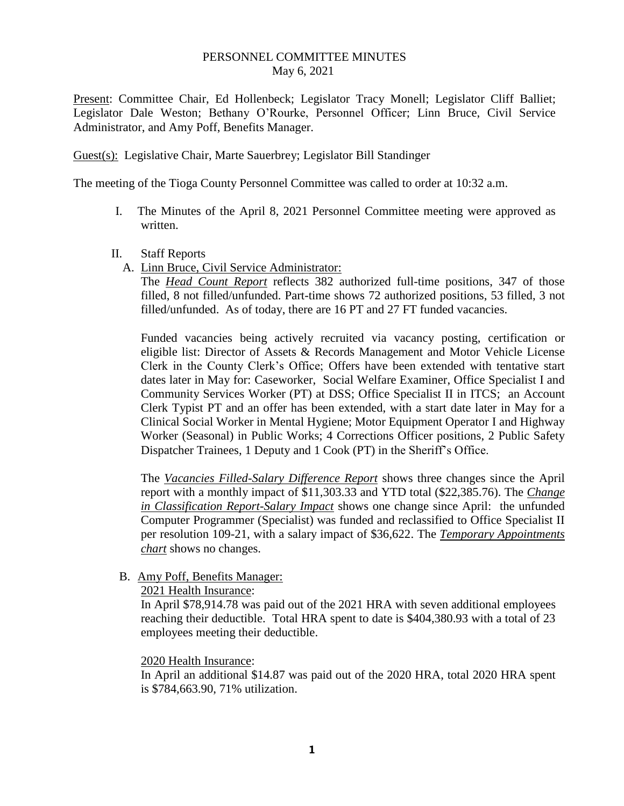## PERSONNEL COMMITTEE MINUTES May 6, 2021

Present: Committee Chair, Ed Hollenbeck; Legislator Tracy Monell; Legislator Cliff Balliet; Legislator Dale Weston; Bethany O'Rourke, Personnel Officer; Linn Bruce, Civil Service Administrator, and Amy Poff, Benefits Manager.

Guest(s): Legislative Chair, Marte Sauerbrey; Legislator Bill Standinger

The meeting of the Tioga County Personnel Committee was called to order at 10:32 a.m.

- I. The Minutes of the April 8, 2021 Personnel Committee meeting were approved as written.
- II. Staff Reports
	- A. Linn Bruce, Civil Service Administrator:

The *Head Count Report* reflects 382 authorized full-time positions, 347 of those filled, 8 not filled/unfunded. Part-time shows 72 authorized positions, 53 filled, 3 not filled/unfunded. As of today, there are 16 PT and 27 FT funded vacancies.

Funded vacancies being actively recruited via vacancy posting, certification or eligible list: Director of Assets & Records Management and Motor Vehicle License Clerk in the County Clerk's Office; Offers have been extended with tentative start dates later in May for: Caseworker, Social Welfare Examiner, Office Specialist I and Community Services Worker (PT) at DSS; Office Specialist II in ITCS; an Account Clerk Typist PT and an offer has been extended, with a start date later in May for a Clinical Social Worker in Mental Hygiene; Motor Equipment Operator I and Highway Worker (Seasonal) in Public Works; 4 Corrections Officer positions, 2 Public Safety Dispatcher Trainees, 1 Deputy and 1 Cook (PT) in the Sheriff's Office.

The *Vacancies Filled-Salary Difference Report* shows three changes since the April report with a monthly impact of \$11,303.33 and YTD total (\$22,385.76). The *Change in Classification Report-Salary Impact* shows one change since April: the unfunded Computer Programmer (Specialist) was funded and reclassified to Office Specialist II per resolution 109-21, with a salary impact of \$36,622. The *Temporary Appointments chart* shows no changes.

B. Amy Poff, Benefits Manager:

## 2021 Health Insurance:

In April \$78,914.78 was paid out of the 2021 HRA with seven additional employees reaching their deductible. Total HRA spent to date is \$404,380.93 with a total of 23 employees meeting their deductible.

## 2020 Health Insurance:

In April an additional \$14.87 was paid out of the 2020 HRA, total 2020 HRA spent is \$784,663.90, 71% utilization.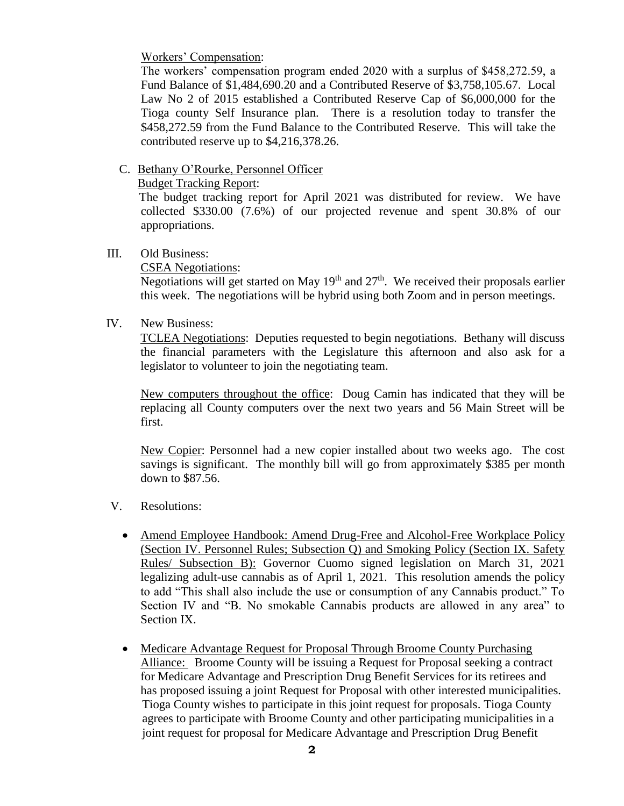Workers' Compensation:

The workers' compensation program ended 2020 with a surplus of \$458,272.59, a Fund Balance of \$1,484,690.20 and a Contributed Reserve of \$3,758,105.67. Local Law No 2 of 2015 established a Contributed Reserve Cap of \$6,000,000 for the Tioga county Self Insurance plan. There is a resolution today to transfer the \$458,272.59 from the Fund Balance to the Contributed Reserve. This will take the contributed reserve up to \$4,216,378.26.

C. Bethany O'Rourke, Personnel Officer

Budget Tracking Report:

 The budget tracking report for April 2021 was distributed for review. We have collected \$330.00 (7.6%) of our projected revenue and spent 30.8% of our appropriations.

## III. Old Business:

CSEA Negotiations:

Negotiations will get started on May  $19<sup>th</sup>$  and  $27<sup>th</sup>$ . We received their proposals earlier this week. The negotiations will be hybrid using both Zoom and in person meetings.

IV. New Business:

TCLEA Negotiations: Deputies requested to begin negotiations. Bethany will discuss the financial parameters with the Legislature this afternoon and also ask for a legislator to volunteer to join the negotiating team.

New computers throughout the office: Doug Camin has indicated that they will be replacing all County computers over the next two years and 56 Main Street will be first.

New Copier: Personnel had a new copier installed about two weeks ago. The cost savings is significant. The monthly bill will go from approximately \$385 per month down to \$87.56.

- V. Resolutions:
	- Amend Employee Handbook: Amend Drug-Free and Alcohol-Free Workplace Policy (Section IV. Personnel Rules; Subsection Q) and Smoking Policy (Section IX. Safety Rules/ Subsection B): Governor Cuomo signed legislation on March 31, 2021 legalizing adult-use cannabis as of April 1, 2021. This resolution amends the policy to add "This shall also include the use or consumption of any Cannabis product." To Section IV and "B. No smokable Cannabis products are allowed in any area" to Section IX.
	- Medicare Advantage Request for Proposal Through Broome County Purchasing Alliance: Broome County will be issuing a Request for Proposal seeking a contract for Medicare Advantage and Prescription Drug Benefit Services for its retirees and has proposed issuing a joint Request for Proposal with other interested municipalities. Tioga County wishes to participate in this joint request for proposals. Tioga County agrees to participate with Broome County and other participating municipalities in a joint request for proposal for Medicare Advantage and Prescription Drug Benefit